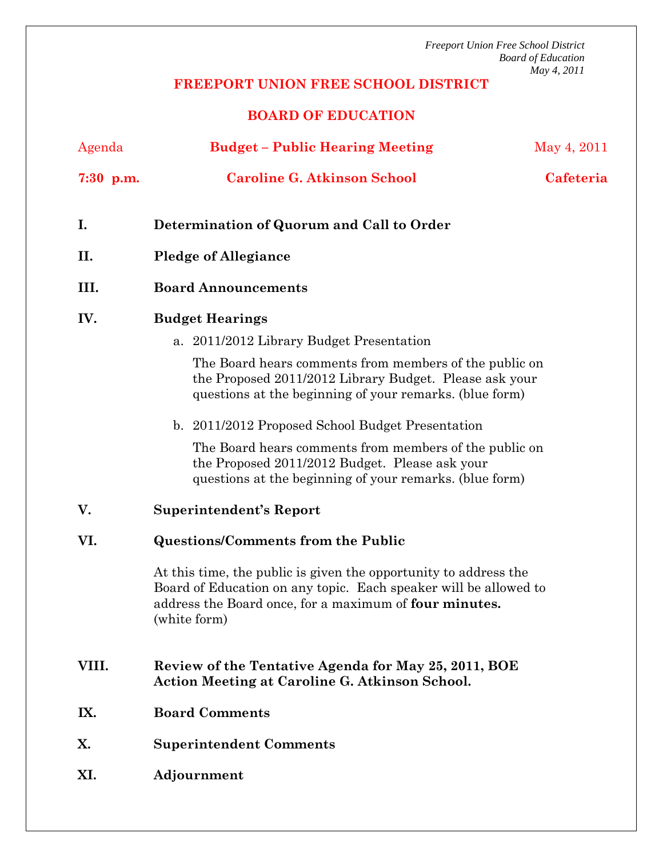*Freeport Union Free School District Board of Education May 4, 2011* 

## **FREEPORT UNION FREE SCHOOL DISTRICT**

## **BOARD OF EDUCATION**

| Agenda      | <b>Budget - Public Hearing Meeting</b>                                                                                                                                                                         | May 4, 2011 |
|-------------|----------------------------------------------------------------------------------------------------------------------------------------------------------------------------------------------------------------|-------------|
| $7:30$ p.m. | <b>Caroline G. Atkinson School</b>                                                                                                                                                                             | Cafeteria   |
| I.          | Determination of Quorum and Call to Order                                                                                                                                                                      |             |
| II.         | <b>Pledge of Allegiance</b>                                                                                                                                                                                    |             |
| III.        | <b>Board Announcements</b>                                                                                                                                                                                     |             |
| IV.         | <b>Budget Hearings</b>                                                                                                                                                                                         |             |
|             | a. 2011/2012 Library Budget Presentation                                                                                                                                                                       |             |
|             | The Board hears comments from members of the public on<br>the Proposed 2011/2012 Library Budget. Please ask your<br>questions at the beginning of your remarks. (blue form)                                    |             |
|             | b. 2011/2012 Proposed School Budget Presentation                                                                                                                                                               |             |
|             | The Board hears comments from members of the public on<br>the Proposed 2011/2012 Budget. Please ask your<br>questions at the beginning of your remarks. (blue form)                                            |             |
| V.          | <b>Superintendent's Report</b>                                                                                                                                                                                 |             |
| VI.         | <b>Questions/Comments from the Public</b>                                                                                                                                                                      |             |
|             | At this time, the public is given the opportunity to address the<br>Board of Education on any topic. Each speaker will be allowed to<br>address the Board once, for a maximum of four minutes.<br>(white form) |             |
| VIII.       | Review of the Tentative Agenda for May 25, 2011, BOE<br><b>Action Meeting at Caroline G. Atkinson School.</b>                                                                                                  |             |
| IX.         | <b>Board Comments</b>                                                                                                                                                                                          |             |
| X.          | <b>Superintendent Comments</b>                                                                                                                                                                                 |             |
| XI.         | Adjournment                                                                                                                                                                                                    |             |